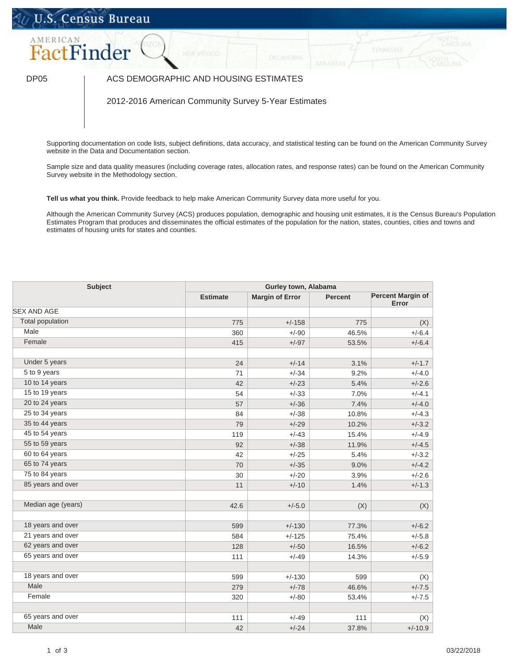## U.S. Census Bureau



## DP05 | ACS DEMOGRAPHIC AND HOUSING ESTIMATES

2012-2016 American Community Survey 5-Year Estimates

Supporting documentation on code lists, subject definitions, data accuracy, and statistical testing can be found on the American Community Survey website in the Data and Documentation section.

Sample size and data quality measures (including coverage rates, allocation rates, and response rates) can be found on the American Community Survey website in the Methodology section.

**Tell us what you think.** Provide feedback to help make American Community Survey data more useful for you.

Although the American Community Survey (ACS) produces population, demographic and housing unit estimates, it is the Census Bureau's Population Estimates Program that produces and disseminates the official estimates of the population for the nation, states, counties, cities and towns and estimates of housing units for states and counties.

| <b>Subject</b>            |                 | Gurley town, Alabama   |                |                                   |  |  |
|---------------------------|-----------------|------------------------|----------------|-----------------------------------|--|--|
|                           | <b>Estimate</b> | <b>Margin of Error</b> | <b>Percent</b> | <b>Percent Margin of</b><br>Error |  |  |
| <b>SEX AND AGE</b>        |                 |                        |                |                                   |  |  |
| <b>Total population</b>   | 775             | $+/-158$               | 775            | (X)                               |  |  |
| Male                      | 360             | $+/-90$                | 46.5%          | $+/-6.4$                          |  |  |
| Female                    | 415             | $+/-97$                | 53.5%          | $+/-6.4$                          |  |  |
| Under 5 years             | 24              | $+/-14$                | 3.1%           | $+/-1.7$                          |  |  |
| $\overline{5}$ to 9 years | 71              | $+/-34$                | 9.2%           | $+/-4.0$                          |  |  |
| 10 to 14 years            | 42              | $+/-23$                | 5.4%           | $+/-2.6$                          |  |  |
| 15 to 19 years            | 54              | $+/-33$                | 7.0%           | $+/-4.1$                          |  |  |
| 20 to 24 years            | 57              | $+/-36$                | 7.4%           | $+/-4.0$                          |  |  |
| 25 to 34 years            | 84              | $+/-38$                | 10.8%          | $+/-4.3$                          |  |  |
| 35 to 44 years            | 79              | $+/-29$                | 10.2%          | $+/-3.2$                          |  |  |
| 45 to 54 years            | 119             | $+/-43$                | 15.4%          | $+/-4.9$                          |  |  |
| 55 to 59 years            | 92              | $+/-38$                | 11.9%          | $+/-4.5$                          |  |  |
| 60 to 64 years            | 42              | $+/-25$                | 5.4%           | $+/-3.2$                          |  |  |
| 65 to 74 years            | 70              | $+/-35$                | 9.0%           | $+/-4.2$                          |  |  |
| 75 to 84 years            | 30              | $+/-20$                | 3.9%           | $+/-2.6$                          |  |  |
| 85 years and over         | 11              | $+/-10$                | 1.4%           | $+/-1.3$                          |  |  |
| Median age (years)        | 42.6            | $+/-5.0$               | (X)            | (X)                               |  |  |
| 18 years and over         | 599             | $+/-130$               | 77.3%          | $+/-6.2$                          |  |  |
| 21 years and over         | 584             | $+/-125$               | 75.4%          | $+/-5.8$                          |  |  |
| 62 years and over         | 128             | $+/-50$                | 16.5%          | $+/-6.2$                          |  |  |
| 65 years and over         | 111             | $+/-49$                | 14.3%          | $+/-5.9$                          |  |  |
| 18 years and over         | 599             | $+/-130$               | 599            | (X)                               |  |  |
| Male                      | 279             | $+/-78$                | 46.6%          | $+/-7.5$                          |  |  |
| Female                    | 320             | $+/-80$                | 53.4%          | $+/-7.5$                          |  |  |
| 65 years and over         | 111             | $+/-49$                | 111            | (X)                               |  |  |
| Male                      | 42              | $+/-24$                | 37.8%          | $+/-10.9$                         |  |  |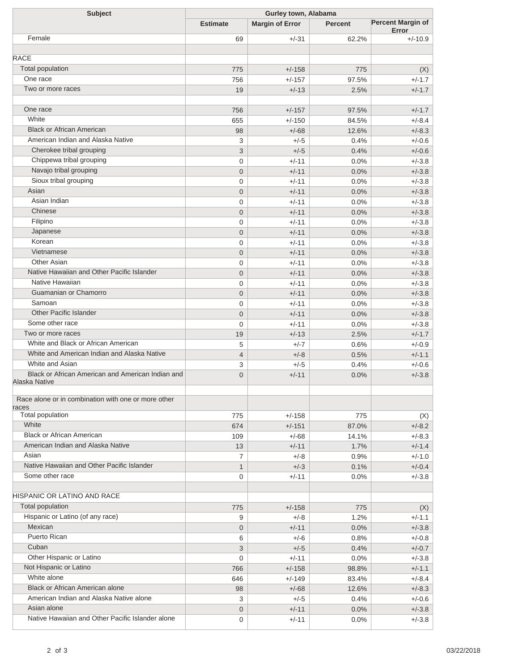| <b>Subject</b>                                                                     | Gurley town, Alabama |                        |                |                          |  |
|------------------------------------------------------------------------------------|----------------------|------------------------|----------------|--------------------------|--|
|                                                                                    | <b>Estimate</b>      | <b>Margin of Error</b> | <b>Percent</b> | <b>Percent Margin of</b> |  |
| Female                                                                             | 69                   | $+/-31$                | 62.2%          | Error<br>$+/-10.9$       |  |
|                                                                                    |                      |                        |                |                          |  |
| <b>RACE</b>                                                                        |                      |                        |                |                          |  |
| <b>Total population</b>                                                            | 775                  | $+/-158$               | 775            | (X)                      |  |
| One race                                                                           | 756                  | $+/-157$               | 97.5%          | $+/-1.7$                 |  |
| Two or more races                                                                  | 19                   | $+/-13$                | 2.5%           | $+/-1.7$                 |  |
|                                                                                    |                      |                        |                |                          |  |
| One race                                                                           | 756                  | $+/-157$               | 97.5%          | $+/-1.7$                 |  |
| White                                                                              | 655                  | $+/-150$               | 84.5%          | $+/-8.4$                 |  |
| <b>Black or African American</b>                                                   | 98                   | $+/-68$                | 12.6%          | $+/-8.3$                 |  |
| American Indian and Alaska Native                                                  | 3                    | $+/-5$                 | 0.4%           | $+/-0.6$                 |  |
| Cherokee tribal grouping                                                           | 3                    | $+/-5$                 | 0.4%           | $+/-0.6$                 |  |
| Chippewa tribal grouping                                                           | $\mathbf 0$          | $+/-11$                | 0.0%           | $+/-3.8$                 |  |
| Navajo tribal grouping                                                             | $\mathbf 0$          | $+/-11$                | 0.0%           | $+/-3.8$                 |  |
| Sioux tribal grouping                                                              | $\mathbf 0$          | $+/-11$                | 0.0%           | $+/-3.8$                 |  |
| Asian                                                                              | $\mathbf 0$          | $+/-11$                | 0.0%           | $+/-3.8$                 |  |
| Asian Indian                                                                       | $\mathbf 0$          | $+/-11$                | 0.0%           | $+/-3.8$                 |  |
| Chinese                                                                            | $\mathbf 0$          | $+/-11$                | 0.0%           | $+/-3.8$                 |  |
| Filipino                                                                           | $\mathbf 0$          | $+/-11$                | 0.0%           | $+/-3.8$                 |  |
| Japanese                                                                           | $\mathbf 0$          | $+/-11$                | 0.0%           | $+/-3.8$                 |  |
| Korean                                                                             | $\mathbf 0$          | $+/-11$                | 0.0%           | $+/-3.8$                 |  |
| Vietnamese                                                                         | $\mathbf 0$          | $+/-11$                | 0.0%           | $+/-3.8$                 |  |
| Other Asian                                                                        | $\mathbf 0$          | $+/-11$                | 0.0%           | $+/-3.8$                 |  |
| Native Hawaiian and Other Pacific Islander                                         | $\mathbf 0$          | $+/-11$                | 0.0%           | $+/-3.8$                 |  |
| Native Hawaiian                                                                    | $\mathbf 0$          | $+/-11$                | 0.0%           | $+/-3.8$                 |  |
| Guamanian or Chamorro                                                              | $\mathbf 0$          | $+/-11$                | 0.0%           | $+/-3.8$                 |  |
| Samoan                                                                             | $\mathbf 0$          | $+/-11$                | 0.0%           | $+/-3.8$                 |  |
| <b>Other Pacific Islander</b>                                                      | $\mathbf 0$          | $+/-11$                | 0.0%           | $+/-3.8$                 |  |
| Some other race                                                                    | $\mathbf 0$          | $+/-11$                | 0.0%           | $+/-3.8$                 |  |
| Two or more races                                                                  | 19                   | $+/-13$                | 2.5%           | $+/-1.7$                 |  |
| White and Black or African American<br>White and American Indian and Alaska Native | 5                    | $+/-7$                 | 0.6%           | $+/-0.9$                 |  |
| White and Asian                                                                    | $\overline{4}$       | $+/-8$                 | 0.5%           | $+/-1.1$                 |  |
| Black or African American and American Indian and                                  | 3                    | $+/-5$                 | 0.4%           | $+/-0.6$                 |  |
| Alaska Native                                                                      | $\overline{0}$       | $+/-11$                | 0.0%           | $+/-3.8$                 |  |
|                                                                                    |                      |                        |                |                          |  |
| Race alone or in combination with one or more other                                |                      |                        |                |                          |  |
| races<br><b>Total population</b>                                                   | 775                  | $+/-158$               | 775            |                          |  |
| White                                                                              | 674                  | $+/-151$               | 87.0%          | (X)<br>$+/-8.2$          |  |
| <b>Black or African American</b>                                                   | 109                  | $+/-68$                | 14.1%          | $+/-8.3$                 |  |
| American Indian and Alaska Native                                                  | 13                   | $+/-11$                | 1.7%           | $+/-1.4$                 |  |
| Asian                                                                              | $\overline{7}$       | $+/-8$                 | 0.9%           | $+/-1.0$                 |  |
| Native Hawaiian and Other Pacific Islander                                         | $\mathbf{1}$         | $+/-3$                 | 0.1%           | $+/-0.4$                 |  |
| Some other race                                                                    | $\mathbf{0}$         | $+/-11$                | 0.0%           | $+/-3.8$                 |  |
|                                                                                    |                      |                        |                |                          |  |
| HISPANIC OR LATINO AND RACE                                                        |                      |                        |                |                          |  |
| <b>Total population</b>                                                            | 775                  | $+/-158$               | 775            | (X)                      |  |
| Hispanic or Latino (of any race)                                                   | 9                    | $+/-8$                 | 1.2%           | $+/-1.1$                 |  |
| Mexican                                                                            | $\mathbf 0$          | $+/-11$                | 0.0%           | $+/-3.8$                 |  |
| Puerto Rican                                                                       | 6                    | $+/-6$                 | 0.8%           | $+/-0.8$                 |  |
| Cuban                                                                              | 3                    | $+/-5$                 | 0.4%           | $+/-0.7$                 |  |
| Other Hispanic or Latino                                                           | 0                    | $+/-11$                | 0.0%           | $+/-3.8$                 |  |
| Not Hispanic or Latino                                                             | 766                  | $+/-158$               | 98.8%          | $+/-1.1$                 |  |
| White alone                                                                        | 646                  | $+/-149$               | 83.4%          | $+/-8.4$                 |  |
| Black or African American alone                                                    | 98                   | $+/-68$                | 12.6%          | $+/-8.3$                 |  |
| American Indian and Alaska Native alone                                            | 3                    | $+/-5$                 | 0.4%           | $+/-0.6$                 |  |
| Asian alone                                                                        | $\mathbf 0$          | $+/-11$                | 0.0%           | $+/-3.8$                 |  |
| Native Hawaiian and Other Pacific Islander alone                                   | 0                    | $+/-11$                | 0.0%           | $+/-3.8$                 |  |
|                                                                                    |                      |                        |                |                          |  |